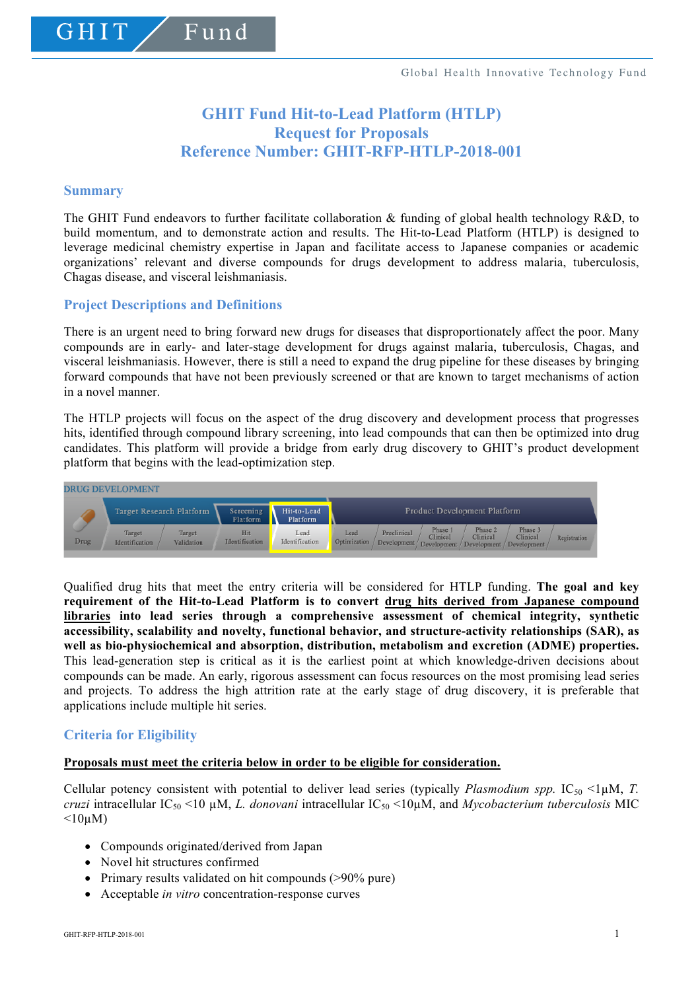# **GHIT Fund Hit-to-Lead Platform (HTLP) Request for Proposals Reference Number: GHIT-RFP-HTLP-2018-001**

#### **Summary**

GHIT

The GHIT Fund endeavors to further facilitate collaboration & funding of global health technology R&D, to build momentum, and to demonstrate action and results. The Hit-to-Lead Platform (HTLP) is designed to leverage medicinal chemistry expertise in Japan and facilitate access to Japanese companies or academic organizations' relevant and diverse compounds for drugs development to address malaria, tuberculosis, Chagas disease, and visceral leishmaniasis.

## **Project Descriptions and Definitions**

Fund

There is an urgent need to bring forward new drugs for diseases that disproportionately affect the poor. Many compounds are in early- and later-stage development for drugs against malaria, tuberculosis, Chagas, and visceral leishmaniasis. However, there is still a need to expand the drug pipeline for these diseases by bringing forward compounds that have not been previously screened or that are known to target mechanisms of action in a novel manner.

The HTLP projects will focus on the aspect of the drug discovery and development process that progresses hits, identified through compound library screening, into lead compounds that can then be optimized into drug candidates. This platform will provide a bridge from early drug discovery to GHIT's product development platform that begins with the lead-optimization step.



Qualified drug hits that meet the entry criteria will be considered for HTLP funding. **The goal and key requirement of the Hit-to-Lead Platform is to convert drug hits derived from Japanese compound libraries into lead series through a comprehensive assessment of chemical integrity, synthetic accessibility, scalability and novelty, functional behavior, and structure-activity relationships (SAR), as well as bio-physiochemical and absorption, distribution, metabolism and excretion (ADME) properties.** This lead-generation step is critical as it is the earliest point at which knowledge-driven decisions about compounds can be made. An early, rigorous assessment can focus resources on the most promising lead series and projects. To address the high attrition rate at the early stage of drug discovery, it is preferable that applications include multiple hit series.

## **Criteria for Eligibility**

#### **Proposals must meet the criteria below in order to be eligible for consideration.**

Cellular potency consistent with potential to deliver lead series (typically *Plasmodium spp.* IC<sub>50</sub> <1 $\mu$ M, *T. cruzi* intracellular  $IC_{50}$  <10  $\mu$ M, *L. donovani* intracellular  $IC_{50}$  <10 $\mu$ M, and *Mycobacterium tuberculosis* MIC  $\leq 10 \mu M$ )

- Compounds originated/derived from Japan
- Novel hit structures confirmed
- Primary results validated on hit compounds (>90% pure)
- Acceptable *in vitro* concentration-response curves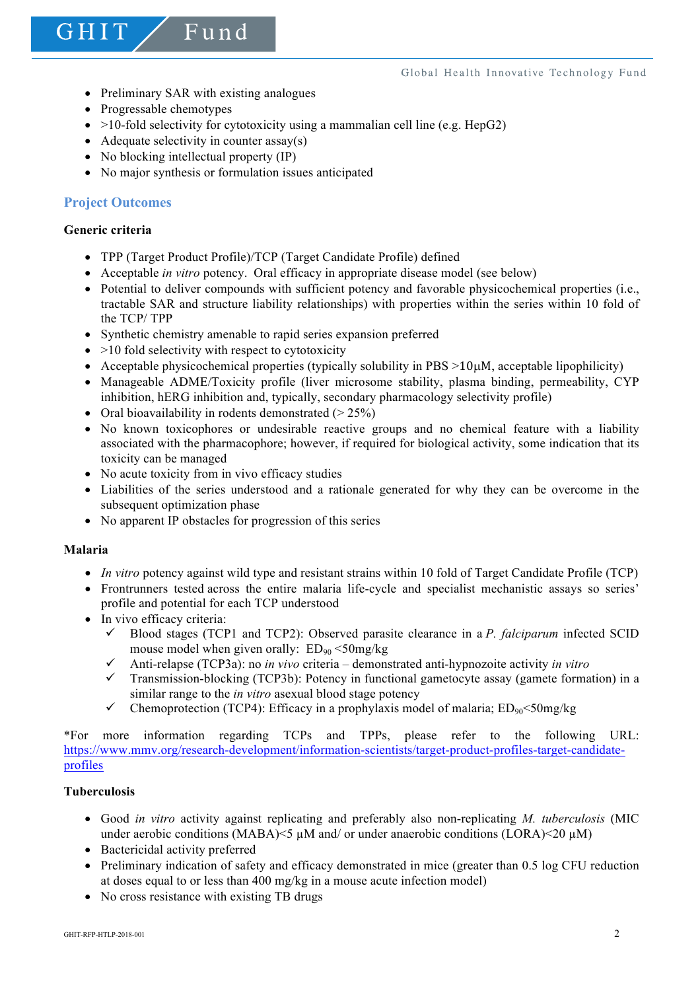• Preliminary SAR with existing analogues

Fund

- Progressable chemotypes
- $>10$ -fold selectivity for cytotoxicity using a mammalian cell line (e.g. HepG2)
- Adequate selectivity in counter  $assay(s)$
- No blocking intellectual property (IP)
- No major synthesis or formulation issues anticipated

# **Project Outcomes**

## **Generic criteria**

GHIT

- TPP (Target Product Profile)/TCP (Target Candidate Profile) defined
- Acceptable *in vitro* potency. Oral efficacy in appropriate disease model (see below)
- Potential to deliver compounds with sufficient potency and favorable physicochemical properties (i.e., tractable SAR and structure liability relationships) with properties within the series within 10 fold of the TCP/ TPP
- Synthetic chemistry amenable to rapid series expansion preferred
- $\bullet$  >10 fold selectivity with respect to cytotoxicity
- Acceptable physicochemical properties (typically solubility in  $PBS >10\mu$ M, acceptable lipophilicity)
- Manageable ADME/Toxicity profile (liver microsome stability, plasma binding, permeability, CYP inhibition, hERG inhibition and, typically, secondary pharmacology selectivity profile)
- Oral bioavailability in rodents demonstrated  $(> 25\%)$
- No known toxicophores or undesirable reactive groups and no chemical feature with a liability associated with the pharmacophore; however, if required for biological activity, some indication that its toxicity can be managed
- No acute toxicity from in vivo efficacy studies
- Liabilities of the series understood and a rationale generated for why they can be overcome in the subsequent optimization phase
- No apparent IP obstacles for progression of this series

## **Malaria**

- *In vitro* potency against wild type and resistant strains within 10 fold of Target Candidate Profile (TCP)
- Frontrunners tested across the entire malaria life-cycle and specialist mechanistic assays so series' profile and potential for each TCP understood
- In vivo efficacy criteria:
	- $\checkmark$  Blood stages (TCP1 and TCP2): Observed parasite clearance in a *P. falciparum* infected SCID mouse model when given orally:  $ED_{90} < 50$ mg/kg
	- $\checkmark$  Anti-relapse (TCP3a): no *in vivo* criteria demonstrated anti-hypnozoite activity *in vitro*
	- $\checkmark$  Transmission-blocking (TCP3b): Potency in functional gametocyte assay (gamete formation) in a similar range to the *in vitro* asexual blood stage potency
	- Chemoprotection (TCP4): Efficacy in a prophylaxis model of malaria;  $ED_{90} < 50$ mg/kg

\*For more information regarding TCPs and TPPs, please refer to the following URL: https://www.mmv.org/research-development/information-scientists/target-product-profiles-target-candidateprofiles

## **Tuberculosis**

- Good *in vitro* activity against replicating and preferably also non-replicating *M. tuberculosis* (MIC under aerobic conditions (MABA)<5 µM and/ or under anaerobic conditions (LORA)<20 µM)
- Bactericidal activity preferred
- Preliminary indication of safety and efficacy demonstrated in mice (greater than 0.5 log CFU reduction at doses equal to or less than 400 mg/kg in a mouse acute infection model)
- No cross resistance with existing TB drugs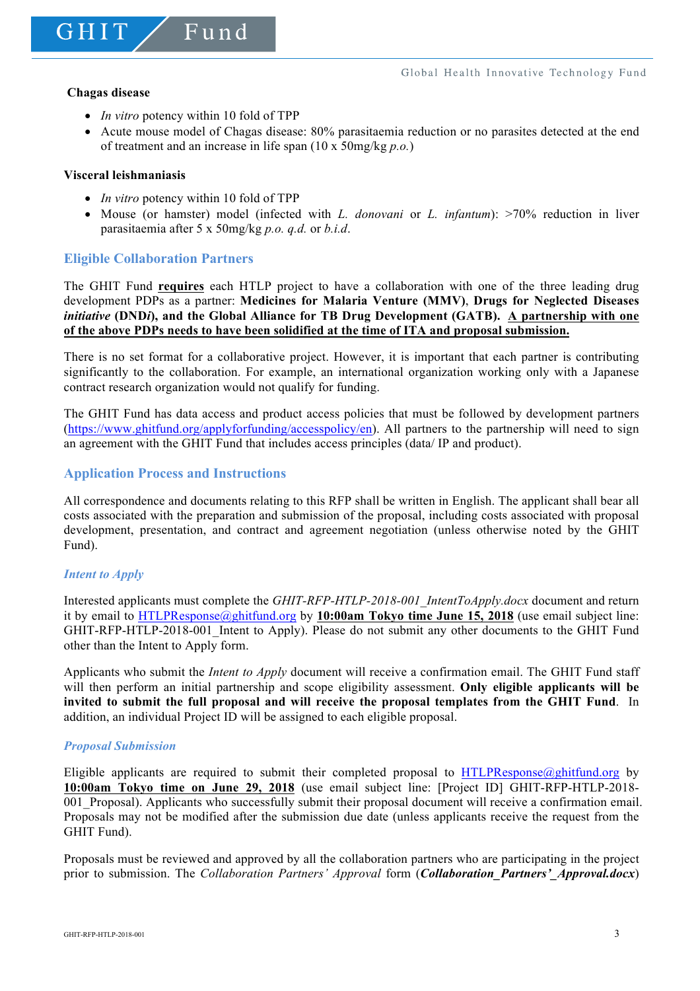GHIT

• *In vitro* potency within 10 fold of TPP

 $F$ und

• Acute mouse model of Chagas disease: 80% parasitaemia reduction or no parasites detected at the end of treatment and an increase in life span (10 x 50mg/kg *p.o.*)

#### **Visceral leishmaniasis**

- *In vitro* potency within 10 fold of TPP
- Mouse (or hamster) model (infected with *L. donovani* or *L. infantum*): >70% reduction in liver parasitaemia after 5 x 50mg/kg *p.o. q.d.* or *b.i.d*.

# **Eligible Collaboration Partners**

The GHIT Fund **requires** each HTLP project to have a collaboration with one of the three leading drug development PDPs as a partner: **Medicines for Malaria Venture (MMV)**, **Drugs for Neglected Diseases**  *initiative* **(DND***i***), and the Global Alliance for TB Drug Development (GATB). A partnership with one of the above PDPs needs to have been solidified at the time of ITA and proposal submission.**

There is no set format for a collaborative project. However, it is important that each partner is contributing significantly to the collaboration. For example, an international organization working only with a Japanese contract research organization would not qualify for funding.

The GHIT Fund has data access and product access policies that must be followed by development partners (https://www.ghitfund.org/applyforfunding/accesspolicy/en). All partners to the partnership will need to sign an agreement with the GHIT Fund that includes access principles (data/ IP and product).

## **Application Process and Instructions**

All correspondence and documents relating to this RFP shall be written in English. The applicant shall bear all costs associated with the preparation and submission of the proposal, including costs associated with proposal development, presentation, and contract and agreement negotiation (unless otherwise noted by the GHIT Fund).

## *Intent to Apply*

Interested applicants must complete the *GHIT-RFP-HTLP-2018-001\_IntentToApply.docx* document and return it by email to HTLPResponse@ghitfund.org by **10:00am Tokyo time June 15, 2018** (use email subject line: GHIT-RFP-HTLP-2018-001 Intent to Apply). Please do not submit any other documents to the GHIT Fund other than the Intent to Apply form.

Applicants who submit the *Intent to Apply* document will receive a confirmation email. The GHIT Fund staff will then perform an initial partnership and scope eligibility assessment. **Only eligible applicants will be invited to submit the full proposal and will receive the proposal templates from the GHIT Fund**. In addition, an individual Project ID will be assigned to each eligible proposal.

#### *Proposal Submission*

Eligible applicants are required to submit their completed proposal to HTLPResponse@ghitfund.org by **10:00am Tokyo time on June 29, 2018** (use email subject line: [Project ID] GHIT-RFP-HTLP-2018- 001 Proposal). Applicants who successfully submit their proposal document will receive a confirmation email. Proposals may not be modified after the submission due date (unless applicants receive the request from the GHIT Fund).

Proposals must be reviewed and approved by all the collaboration partners who are participating in the project prior to submission. The *Collaboration Partners' Approval* form (*Collaboration\_Partners'\_Approval.docx*)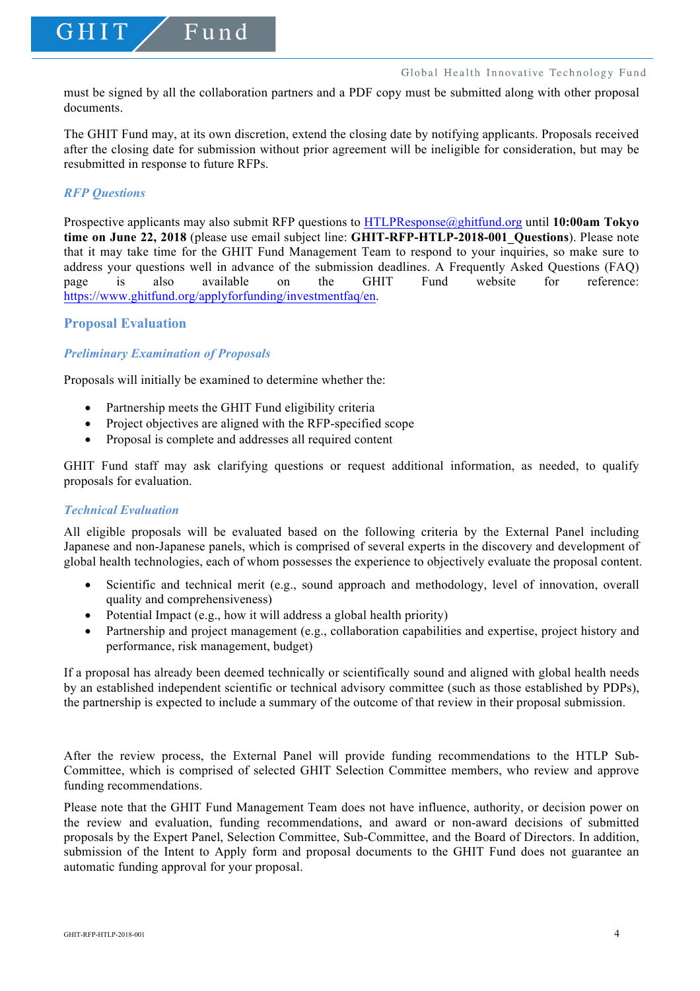must be signed by all the collaboration partners and a PDF copy must be submitted along with other proposal documents.

The GHIT Fund may, at its own discretion, extend the closing date by notifying applicants. Proposals received after the closing date for submission without prior agreement will be ineligible for consideration, but may be resubmitted in response to future RFPs.

## *RFP Questions*

GHIT

Prospective applicants may also submit RFP questions to HTLPResponse@ghitfund.org until **10:00am Tokyo time on June 22, 2018** (please use email subject line: **GHIT-RFP-HTLP-2018-001\_Questions**). Please note that it may take time for the GHIT Fund Management Team to respond to your inquiries, so make sure to address your questions well in advance of the submission deadlines. A Frequently Asked Questions (FAQ) page is also available on the GHIT Fund website for reference: https://www.ghitfund.org/applyforfunding/investmentfaq/en.

# **Proposal Evaluation**

# *Preliminary Examination of Proposals*

Proposals will initially be examined to determine whether the:

Fund

- Partnership meets the GHIT Fund eligibility criteria
- Project objectives are aligned with the RFP-specified scope
- Proposal is complete and addresses all required content

GHIT Fund staff may ask clarifying questions or request additional information, as needed, to qualify proposals for evaluation.

#### *Technical Evaluation*

All eligible proposals will be evaluated based on the following criteria by the External Panel including Japanese and non-Japanese panels, which is comprised of several experts in the discovery and development of global health technologies, each of whom possesses the experience to objectively evaluate the proposal content.

- Scientific and technical merit (e.g., sound approach and methodology, level of innovation, overall quality and comprehensiveness)
- Potential Impact (e.g., how it will address a global health priority)
- Partnership and project management (e.g., collaboration capabilities and expertise, project history and performance, risk management, budget)

If a proposal has already been deemed technically or scientifically sound and aligned with global health needs by an established independent scientific or technical advisory committee (such as those established by PDPs), the partnership is expected to include a summary of the outcome of that review in their proposal submission.

After the review process, the External Panel will provide funding recommendations to the HTLP Sub-Committee, which is comprised of selected GHIT Selection Committee members, who review and approve funding recommendations.

Please note that the GHIT Fund Management Team does not have influence, authority, or decision power on the review and evaluation, funding recommendations, and award or non-award decisions of submitted proposals by the Expert Panel, Selection Committee, Sub-Committee, and the Board of Directors. In addition, submission of the Intent to Apply form and proposal documents to the GHIT Fund does not guarantee an automatic funding approval for your proposal.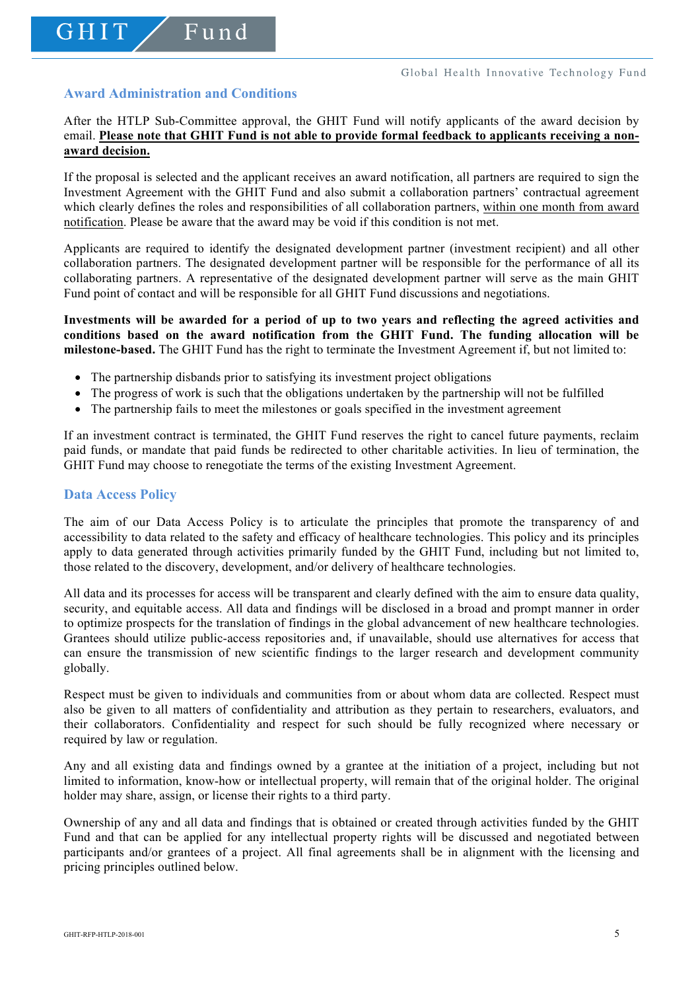# **Award Administration and Conditions**

GHIT

Fund

After the HTLP Sub-Committee approval, the GHIT Fund will notify applicants of the award decision by email. **Please note that GHIT Fund is not able to provide formal feedback to applicants receiving a nonaward decision.**

If the proposal is selected and the applicant receives an award notification, all partners are required to sign the Investment Agreement with the GHIT Fund and also submit a collaboration partners' contractual agreement which clearly defines the roles and responsibilities of all collaboration partners, within one month from award notification. Please be aware that the award may be void if this condition is not met.

Applicants are required to identify the designated development partner (investment recipient) and all other collaboration partners. The designated development partner will be responsible for the performance of all its collaborating partners. A representative of the designated development partner will serve as the main GHIT Fund point of contact and will be responsible for all GHIT Fund discussions and negotiations.

**Investments will be awarded for a period of up to two years and reflecting the agreed activities and conditions based on the award notification from the GHIT Fund. The funding allocation will be milestone-based.** The GHIT Fund has the right to terminate the Investment Agreement if, but not limited to:

- The partnership disbands prior to satisfying its investment project obligations
- The progress of work is such that the obligations undertaken by the partnership will not be fulfilled
- The partnership fails to meet the milestones or goals specified in the investment agreement

If an investment contract is terminated, the GHIT Fund reserves the right to cancel future payments, reclaim paid funds, or mandate that paid funds be redirected to other charitable activities. In lieu of termination, the GHIT Fund may choose to renegotiate the terms of the existing Investment Agreement.

#### **Data Access Policy**

The aim of our Data Access Policy is to articulate the principles that promote the transparency of and accessibility to data related to the safety and efficacy of healthcare technologies. This policy and its principles apply to data generated through activities primarily funded by the GHIT Fund, including but not limited to, those related to the discovery, development, and/or delivery of healthcare technologies.

All data and its processes for access will be transparent and clearly defined with the aim to ensure data quality, security, and equitable access. All data and findings will be disclosed in a broad and prompt manner in order to optimize prospects for the translation of findings in the global advancement of new healthcare technologies. Grantees should utilize public-access repositories and, if unavailable, should use alternatives for access that can ensure the transmission of new scientific findings to the larger research and development community globally.

Respect must be given to individuals and communities from or about whom data are collected. Respect must also be given to all matters of confidentiality and attribution as they pertain to researchers, evaluators, and their collaborators. Confidentiality and respect for such should be fully recognized where necessary or required by law or regulation.

Any and all existing data and findings owned by a grantee at the initiation of a project, including but not limited to information, know-how or intellectual property, will remain that of the original holder. The original holder may share, assign, or license their rights to a third party.

Ownership of any and all data and findings that is obtained or created through activities funded by the GHIT Fund and that can be applied for any intellectual property rights will be discussed and negotiated between participants and/or grantees of a project. All final agreements shall be in alignment with the licensing and pricing principles outlined below.